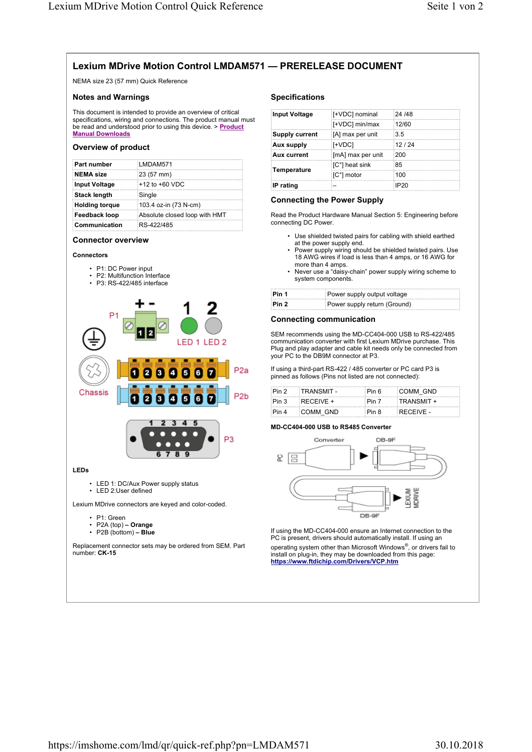# **Lexium MDrive Motion Control LMDAM571 — PRERELEASE DOCUMENT**

NEMA size 23 (57 mm) Quick Reference

# **Notes and Warnings**

This document is intended to provide an overview of critical specifications, wiring and connections. The product manual must be read and understood prior to using this device. > **Product Manual Downloads**

# **Overview of product**

| Part number           | LMDAM571                      |
|-----------------------|-------------------------------|
| NEMA size             | $(23(57)$ mm)                 |
| Input Voltage         | $+12$ to $+60$ VDC            |
| <b>Stack length</b>   | Single                        |
| <b>Holding torque</b> | 103.4 oz-in (73 N-cm)         |
| Feedback loop         | Absolute closed loop with HMT |
| <b>Communication</b>  | RS-422/485                    |

#### **Connector overview**



- P1: DC Power input
- P2: Multifunction Interface
- P3: RS-422/485 interface



- P2A (top)  **Orange**
- P2B (bottom)  **Blue**

Replacement connector sets may be ordered from SEM. Part number: **CK-15**

#### **Specifications**

| Input Voltage         | [+VDC] nominal    | 24 /48      |
|-----------------------|-------------------|-------------|
|                       | [+VDC] min/max    | 12/60       |
| <b>Supply current</b> | [A] max per unit  | 3.5         |
| Aux supply            | i[+VDC]           | 12/24       |
| Aux current           | [mA] max per unit | 200         |
| Temperature           | [C°] heat sink    | :85         |
|                       | ∶[C°] motor       | 100         |
| IP rating             |                   | <b>IP20</b> |

#### **Connecting the Power Supply**

Read the Product Hardware Manual Section 5: Engineering before connecting DC Power.

- Use shielded twisted pairs for cabling with shield earthed at the power supply end.
- Power supply wiring should be shielded twisted pairs. Use 18 AWG wires if load is less than 4 amps, or 16 AWG for more than 4 amps.
- Never use a "daisy-chain" power supply wiring scheme to system components.

| ∶Pin 1 | Power supply output voltage  |
|--------|------------------------------|
| Pin 2  | Power supply return (Ground) |

#### **Connecting communication**

SEM recommends using the MD-CC404-000 USB to RS-422/485 communication converter with first Lexium MDrive purchase. This Plug and play adapter and cable kit needs only be connected from your PC to the DB9M connector at P3.

If using a third-part RS-422 / 485 converter or PC card P3 is pinned as follows (Pins not listed are not connected):

| Pin 2  | :TRANSMIT - | ∶Pin ճ | COMM GND   |
|--------|-------------|--------|------------|
| ∶Pin 3 | $RECEIVE +$ | ∶Pin 7 | TRANSMIT + |
| Pin 4  | COMM GND    | ∶Pin 8 | RECEIVE -  |

#### **MD-CC404-000 USB to RS485 Converter**



If using the MD-CC404-000 ensure an Internet connection to the PC is present, drivers should automatically install. If using an operating system other than Microsoft Windows® , or drivers fail to install on plug-in, they may be downloaded from this page: **https://www.ftdichip.com/Drivers/VCP.htm**